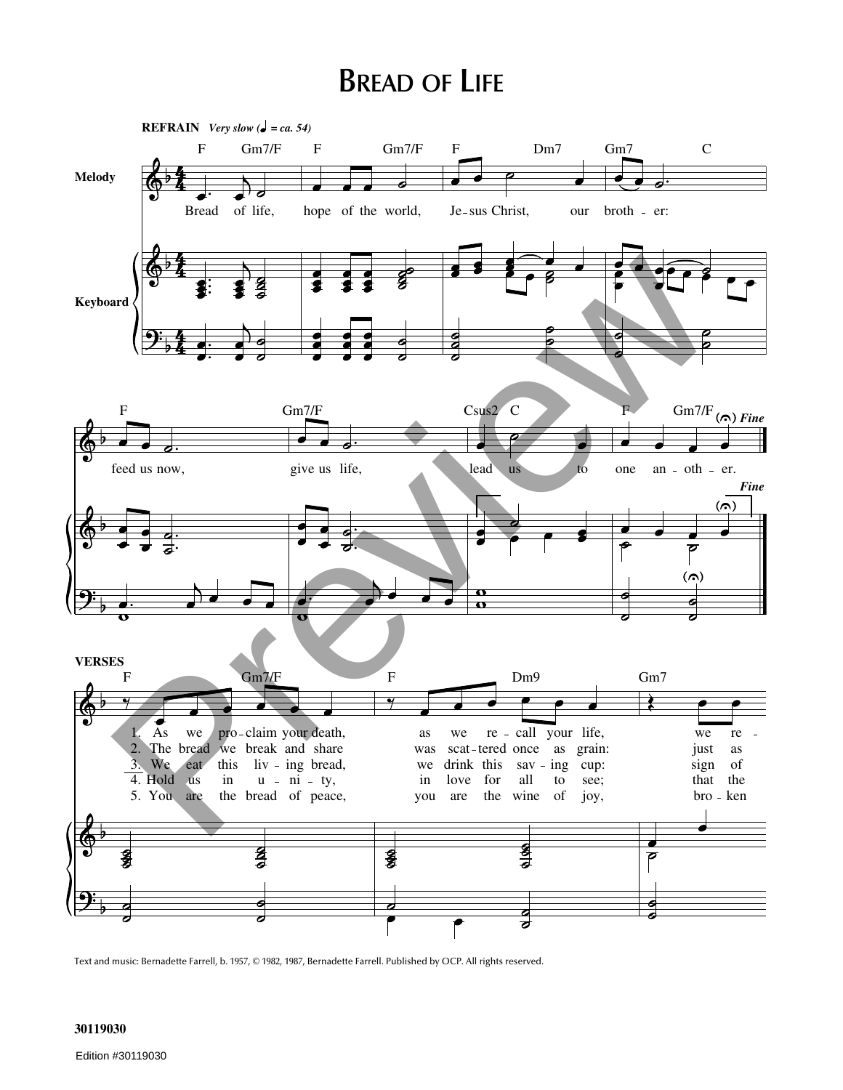## **BREAD OF LIFE**



Text and music: Bernadette Farrell, b. 1957, © 1982, 1987, Bernadette Farrell. Published by OCP. All rights reserved.